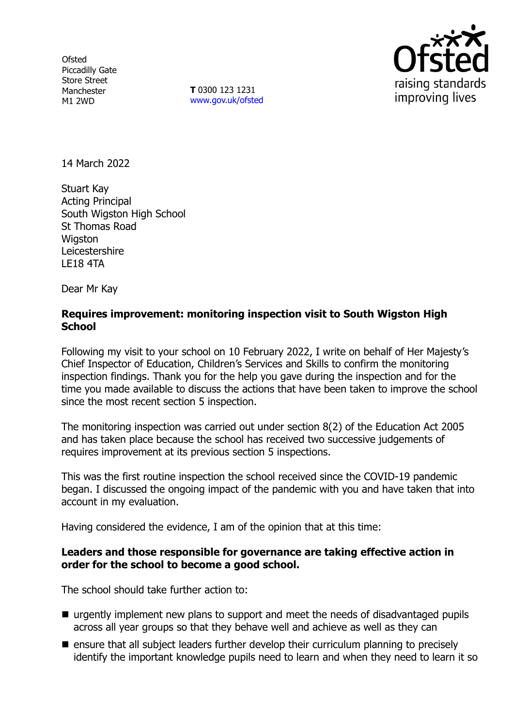**Ofsted** Piccadilly Gate Store Street Manchester M1 2WD

**T** 0300 123 1231 [www.gov.uk/ofsted](http://www.gov.uk/ofsted)



14 March 2022

Stuart Kay Acting Principal South Wigston High School St Thomas Road **Wiaston** Leicestershire LE18 4TA

Dear Mr Kay

## **Requires improvement: monitoring inspection visit to South Wigston High School**

Following my visit to your school on 10 February 2022, I write on behalf of Her Majesty's Chief Inspector of Education, Children's Services and Skills to confirm the monitoring inspection findings. Thank you for the help you gave during the inspection and for the time you made available to discuss the actions that have been taken to improve the school since the most recent section 5 inspection.

The monitoring inspection was carried out under section 8(2) of the Education Act 2005 and has taken place because the school has received two successive judgements of requires improvement at its previous section 5 inspections.

This was the first routine inspection the school received since the COVID-19 pandemic began. I discussed the ongoing impact of the pandemic with you and have taken that into account in my evaluation.

Having considered the evidence, I am of the opinion that at this time:

## **Leaders and those responsible for governance are taking effective action in order for the school to become a good school.**

The school should take further action to:

- urgently implement new plans to support and meet the needs of disadvantaged pupils across all year groups so that they behave well and achieve as well as they can
- $\blacksquare$  ensure that all subject leaders further develop their curriculum planning to precisely identify the important knowledge pupils need to learn and when they need to learn it so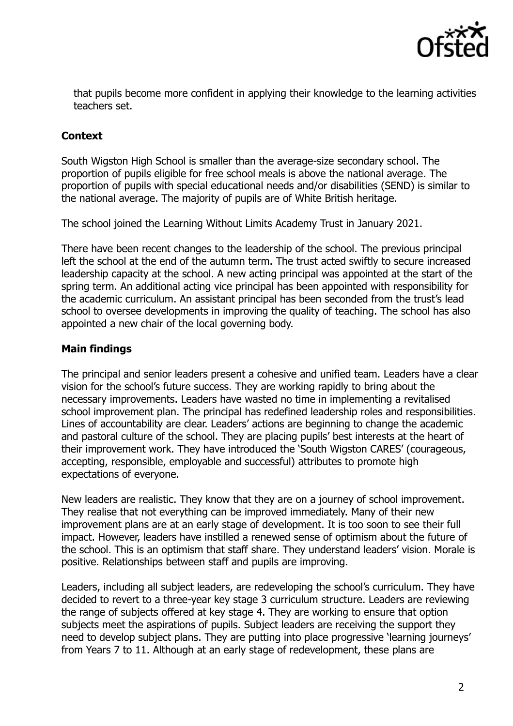

that pupils become more confident in applying their knowledge to the learning activities teachers set.

# **Context**

South Wigston High School is smaller than the average-size secondary school. The proportion of pupils eligible for free school meals is above the national average. The proportion of pupils with special educational needs and/or disabilities (SEND) is similar to the national average. The majority of pupils are of White British heritage.

The school joined the Learning Without Limits Academy Trust in January 2021.

There have been recent changes to the leadership of the school. The previous principal left the school at the end of the autumn term. The trust acted swiftly to secure increased leadership capacity at the school. A new acting principal was appointed at the start of the spring term. An additional acting vice principal has been appointed with responsibility for the academic curriculum. An assistant principal has been seconded from the trust's lead school to oversee developments in improving the quality of teaching. The school has also appointed a new chair of the local governing body.

## **Main findings**

The principal and senior leaders present a cohesive and unified team. Leaders have a clear vision for the school's future success. They are working rapidly to bring about the necessary improvements. Leaders have wasted no time in implementing a revitalised school improvement plan. The principal has redefined leadership roles and responsibilities. Lines of accountability are clear. Leaders' actions are beginning to change the academic and pastoral culture of the school. They are placing pupils' best interests at the heart of their improvement work. They have introduced the 'South Wigston CARES' (courageous, accepting, responsible, employable and successful) attributes to promote high expectations of everyone.

New leaders are realistic. They know that they are on a journey of school improvement. They realise that not everything can be improved immediately. Many of their new improvement plans are at an early stage of development. It is too soon to see their full impact. However, leaders have instilled a renewed sense of optimism about the future of the school. This is an optimism that staff share. They understand leaders' vision. Morale is positive. Relationships between staff and pupils are improving.

Leaders, including all subject leaders, are redeveloping the school's curriculum. They have decided to revert to a three-year key stage 3 curriculum structure. Leaders are reviewing the range of subjects offered at key stage 4. They are working to ensure that option subjects meet the aspirations of pupils. Subject leaders are receiving the support they need to develop subject plans. They are putting into place progressive 'learning journeys' from Years 7 to 11. Although at an early stage of redevelopment, these plans are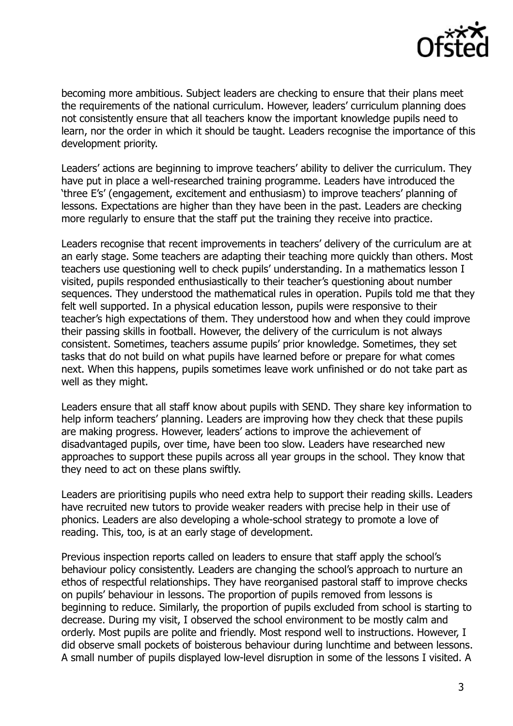

becoming more ambitious. Subject leaders are checking to ensure that their plans meet the requirements of the national curriculum. However, leaders' curriculum planning does not consistently ensure that all teachers know the important knowledge pupils need to learn, nor the order in which it should be taught. Leaders recognise the importance of this development priority.

Leaders' actions are beginning to improve teachers' ability to deliver the curriculum. They have put in place a well-researched training programme. Leaders have introduced the 'three E's' (engagement, excitement and enthusiasm) to improve teachers' planning of lessons. Expectations are higher than they have been in the past. Leaders are checking more regularly to ensure that the staff put the training they receive into practice.

Leaders recognise that recent improvements in teachers' delivery of the curriculum are at an early stage. Some teachers are adapting their teaching more quickly than others. Most teachers use questioning well to check pupils' understanding. In a mathematics lesson I visited, pupils responded enthusiastically to their teacher's questioning about number sequences. They understood the mathematical rules in operation. Pupils told me that they felt well supported. In a physical education lesson, pupils were responsive to their teacher's high expectations of them. They understood how and when they could improve their passing skills in football. However, the delivery of the curriculum is not always consistent. Sometimes, teachers assume pupils' prior knowledge. Sometimes, they set tasks that do not build on what pupils have learned before or prepare for what comes next. When this happens, pupils sometimes leave work unfinished or do not take part as well as they might.

Leaders ensure that all staff know about pupils with SEND. They share key information to help inform teachers' planning. Leaders are improving how they check that these pupils are making progress. However, leaders' actions to improve the achievement of disadvantaged pupils, over time, have been too slow. Leaders have researched new approaches to support these pupils across all year groups in the school. They know that they need to act on these plans swiftly.

Leaders are prioritising pupils who need extra help to support their reading skills. Leaders have recruited new tutors to provide weaker readers with precise help in their use of phonics. Leaders are also developing a whole-school strategy to promote a love of reading. This, too, is at an early stage of development.

Previous inspection reports called on leaders to ensure that staff apply the school's behaviour policy consistently. Leaders are changing the school's approach to nurture an ethos of respectful relationships. They have reorganised pastoral staff to improve checks on pupils' behaviour in lessons. The proportion of pupils removed from lessons is beginning to reduce. Similarly, the proportion of pupils excluded from school is starting to decrease. During my visit, I observed the school environment to be mostly calm and orderly. Most pupils are polite and friendly. Most respond well to instructions. However, I did observe small pockets of boisterous behaviour during lunchtime and between lessons. A small number of pupils displayed low-level disruption in some of the lessons I visited. A